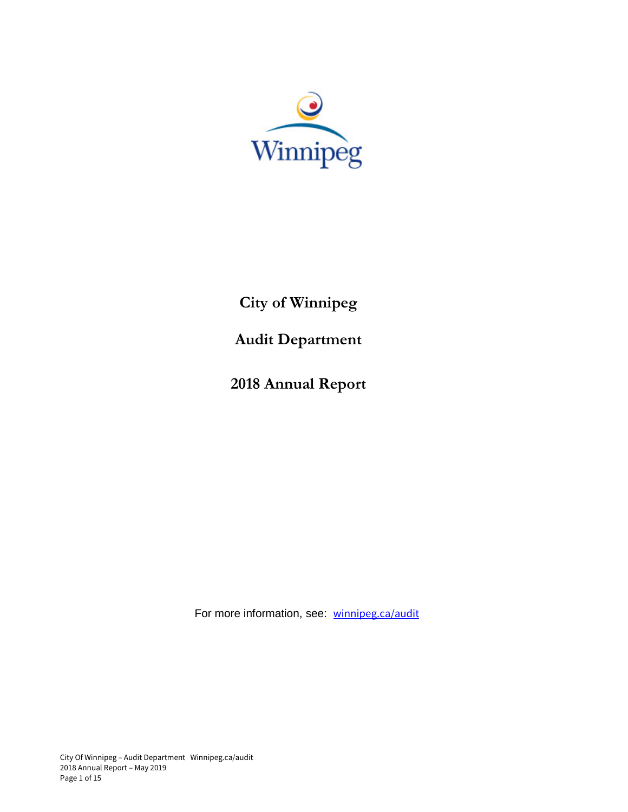

**City of Winnipeg**

**Audit Department**

**2018 Annual Report** 

For more information, see: winnipeg.ca/audit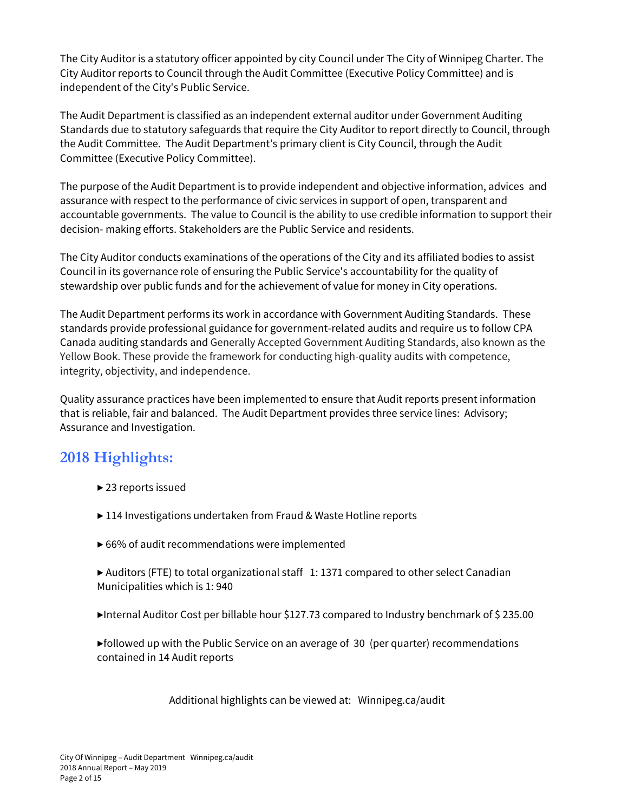The City Auditor is a statutory officer appointed by city Council under The City of Winnipeg Charter. The City Auditor reports to Council through the Audit Committee (Executive Policy Committee) and is independent of the City's Public Service.

The Audit Department is classified as an independent external auditor under Government Auditing Standards due to statutory safeguards that require the City Auditor to report directly to Council, through the Audit Committee. The Audit Department's primary client is City Council, through the Audit Committee (Executive Policy Committee).

The purpose of the Audit Department is to provide independent and objective information, advices and assurance with respect to the performance of civic services in support of open, transparent and accountable governments. The value to Council is the ability to use credible information to support their decision- making efforts. Stakeholders are the Public Service and residents.

The City Auditor conducts examinations of the operations of the City and its affiliated bodies to assist Council in its governance role of ensuring the Public Service's accountability for the quality of stewardship over public funds and for the achievement of value for money in City operations.

The Audit Department performs its work in accordance with Government Auditing Standards. These standards provide professional guidance for government-related audits and require us to follow CPA Canada auditing standards and Generally Accepted Government Auditing Standards, also known as the Yellow Book. These provide the framework for conducting high-quality audits with competence, integrity, objectivity, and independence.

Quality assurance practices have been implemented to ensure that Audit reports present information that is reliable, fair and balanced. The Audit Department provides three service lines: Advisory; Assurance and Investigation.

## **2018 Highlights:**

- ▶ 23 reports issued
- ▶ 114 Investigations undertaken from Fraud & Waste Hotline reports
- $\triangleright$  66% of audit recommendations were implemented
- ▶ Auditors (FTE) to total organizational staff 1: 1371 compared to other select Canadian Municipalities which is 1: 940
- ▶Internal Auditor Cost per billable hour \$127.73 compared to Industry benchmark of \$ 235.00
- $\blacktriangleright$  followed up with the Public Service on an average of 30 (per quarter) recommendations contained in 14 Audit reports

Additional highlights can be viewed at: Winnipeg.ca/audit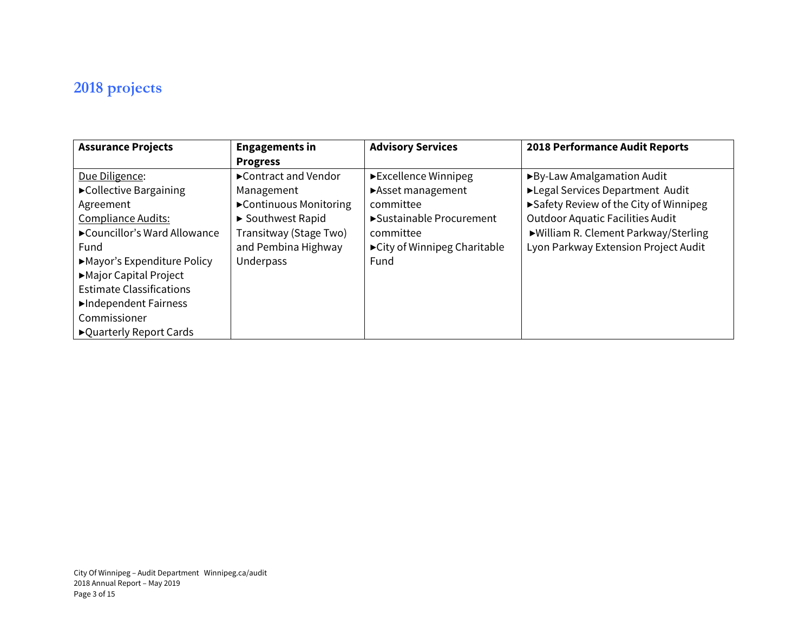# **2018 projects**

| <b>Assurance Projects</b>       | <b>Engagements in</b>   | <b>Advisory Services</b>      | <b>2018 Performance Audit Reports</b>   |
|---------------------------------|-------------------------|-------------------------------|-----------------------------------------|
|                                 | <b>Progress</b>         |                               |                                         |
| Due Diligence:                  | ► Contract and Vendor   | ► Excellence Winnipeg         | ▶ By-Law Amalgamation Audit             |
| ► Collective Bargaining         | Management              | Asset management              | ▶Legal Services Department Audit        |
| Agreement                       | ▶ Continuous Monitoring | committee                     | ► Safety Review of the City of Winnipeg |
| <b>Compliance Audits:</b>       | ▶ Southwest Rapid       | ► Sustainable Procurement     | <b>Outdoor Aquatic Facilities Audit</b> |
| ► Councillor's Ward Allowance   | Transitway (Stage Two)  | committee                     | ▶ William R. Clement Parkway/Sterling   |
| Fund                            | and Pembina Highway     | ► City of Winnipeg Charitable | Lyon Parkway Extension Project Audit    |
| Mayor's Expenditure Policy      | Underpass               | Fund                          |                                         |
| Major Capital Project           |                         |                               |                                         |
| <b>Estimate Classifications</b> |                         |                               |                                         |
| Independent Fairness            |                         |                               |                                         |
| Commissioner                    |                         |                               |                                         |
| ► Quarterly Report Cards        |                         |                               |                                         |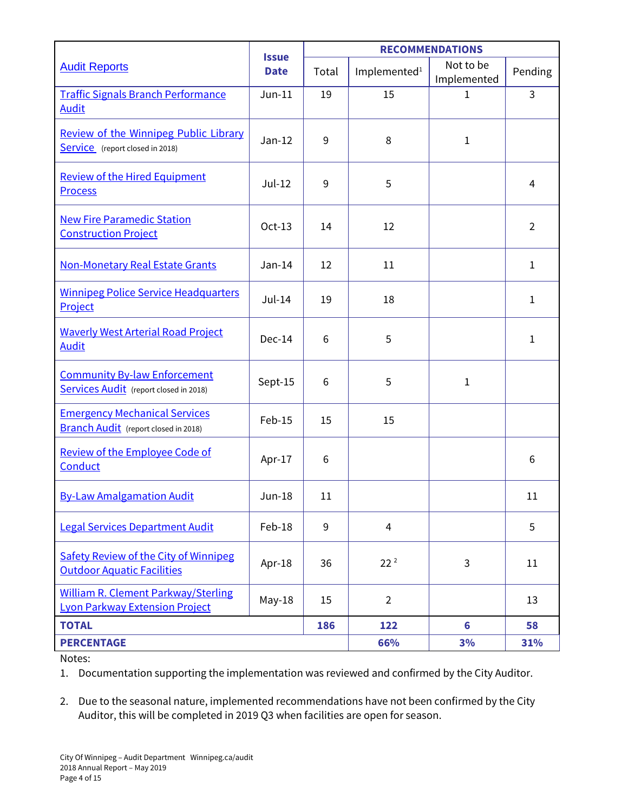|                                                                                     | <b>Issue</b><br><b>Date</b> | <b>RECOMMENDATIONS</b> |                          |                          |                |
|-------------------------------------------------------------------------------------|-----------------------------|------------------------|--------------------------|--------------------------|----------------|
| <b>Audit Reports</b>                                                                |                             | Total                  | Implemented <sup>1</sup> | Not to be<br>Implemented | Pending        |
| <b>Traffic Signals Branch Performance</b><br><b>Audit</b>                           | $Jun-11$                    | 19                     | 15                       | $\mathbf{1}$             | 3              |
| <b>Review of the Winnipeg Public Library</b><br>Service (report closed in 2018)     | $Jan-12$                    | 9                      | 8                        | $\mathbf{1}$             |                |
| <b>Review of the Hired Equipment</b><br><b>Process</b>                              | $Jul-12$                    | 9                      | 5                        |                          | $\overline{4}$ |
| <b>New Fire Paramedic Station</b><br><b>Construction Project</b>                    | $Oct-13$                    | 14                     | 12                       |                          | $\overline{2}$ |
| <b>Non-Monetary Real Estate Grants</b>                                              | $Jan-14$                    | 12                     | 11                       |                          | 1              |
| <b>Winnipeg Police Service Headquarters</b><br>Project                              | $Jul-14$                    | 19                     | 18                       |                          | $\mathbf{1}$   |
| <b>Waverly West Arterial Road Project</b><br><b>Audit</b>                           | $Dec-14$                    | 6                      | 5                        |                          | 1              |
| <b>Community By-law Enforcement</b><br>Services Audit (report closed in 2018)       | Sept-15                     | 6                      | 5                        | $\mathbf{1}$             |                |
| <b>Emergency Mechanical Services</b><br><b>Branch Audit</b> (report closed in 2018) | Feb-15                      | 15                     | 15                       |                          |                |
| <b>Review of the Employee Code of</b><br>Conduct                                    | Apr-17                      | 6                      |                          |                          | 6              |
| <b>By-Law Amalgamation Audit</b>                                                    | <b>Jun-18</b>               | 11                     |                          |                          | 11             |
| <b>Legal Services Department Audit</b>                                              | Feb-18                      | 9                      | $\overline{4}$           |                          | 5              |
| <b>Safety Review of the City of Winnipeg</b><br><b>Outdoor Aquatic Facilities</b>   | Apr-18                      | 36                     | 22 <sup>2</sup>          | 3                        | 11             |
| <b>William R. Clement Parkway/Sterling</b><br><b>Lyon Parkway Extension Project</b> | $May-18$                    | 15                     | $\overline{2}$           |                          | 13             |
| <b>TOTAL</b>                                                                        |                             | 186                    | 122                      | $6\phantom{a}$           | 58             |
| <b>PERCENTAGE</b>                                                                   |                             |                        | 66%                      | 3%                       | 31%            |

Notes:

1. Documentation supporting the implementation was reviewed and confirmed by the City Auditor.

2. Due to the seasonal nature, implemented recommendations have not been confirmed by the City Auditor, this will be completed in 2019 Q3 when facilities are open for season.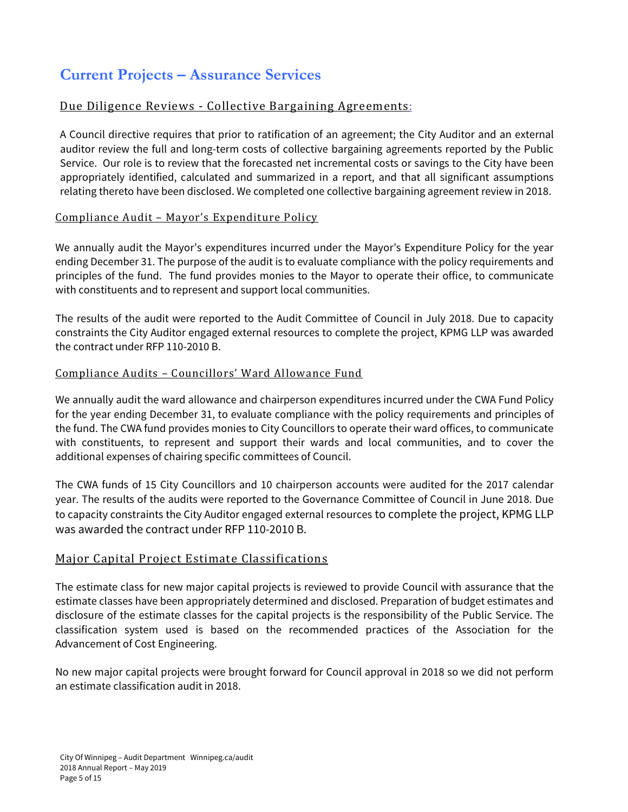## **Current Projects – Assurance Services**

### Due Diligence Reviews - Collective Bargaining Agreements:

A Council directive requires that prior to ratification of an agreement; the City Auditor and an external auditor review the full and long-term costs of collective bargaining agreements reported by the Public Service. Our role is to review that the forecasted net incremental costs or savings to the City have been appropriately identified, calculated and summarized in a report, and that all significant assumptions relating thereto have been disclosed. We completed one collective bargaining agreement review in 2018.

#### Compliance Audit – Mayor's Expenditure Policy

We annually audit the Mayor's expenditures incurred under the Mayor's Expenditure Policy for the year ending December 31. The purpose of the audit is to evaluate compliance with the policy requirements and principles of the fund. The fund provides monies to the Mayor to operate their office, to communicate with constituents and to represent and support local communities.

The results of the audit were reported to the Audit Committee of Council in July 2018. Due to capacity constraints the City Auditor engaged external resources to complete the project, KPMG LLP was awarded the contract under RFP 110-2010 B.

#### Compliance Audits – Councillors' Ward Allowance Fund

We annually audit the ward allowance and chairperson expenditures incurred under the CWA Fund Policy for the year ending December 31, to evaluate compliance with the policy requirements and principles of the fund. The CWA fund provides monies to City Councillors to operate their ward offices, to communicate with constituents, to represent and support their wards and local communities, and to cover the additional expenses of chairing specific committees of Council.

The CWA funds of 15 City Councillors and 10 chairperson accounts were audited for the 2017 calendar year. The results of the audits were reported to the Governance Committee of Council in June 2018. Due to capacity constraints the City Auditor engaged external resources to complete the project, KPMG LLP was awarded the contract under RFP 110-2010 B.

#### Major Capital Project Estimate Classifications

The estimate class for new major capital projects is reviewed to provide Council with assurance that the estimate classes have been appropriately determined and disclosed. Preparation of budget estimates and disclosure of the estimate classes for the capital projects is the responsibility of the Public Service. The classification system used is based on the recommended practices of the Association for the Advancement of Cost Engineering.

No new major capital projects were brought forward for Council approval in 2018 so we did not perform an estimate classification audit in 2018.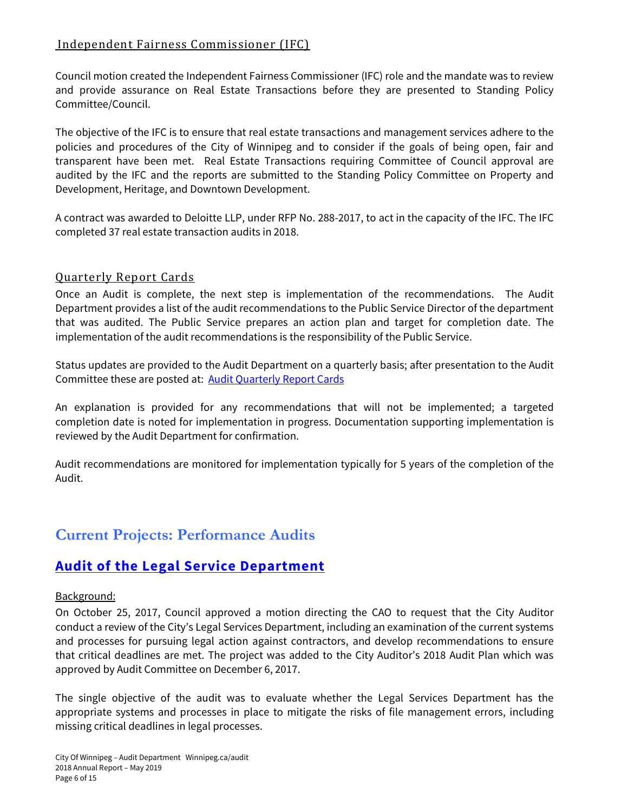### Independent Fairness Commissioner (IFC)

Council motion created the Independent Fairness Commissioner (IFC) role and the mandate was to review and provide assurance on Real Estate Transactions before they are presented to Standing Policy Committee/Council.

The objective of the IFC is to ensure that real estate transactions and management services adhere to the policies and procedures of the City of Winnipeg and to consider if the goals of being open, fair and transparent have been met. Real Estate Transactions requiring Committee of Council approval are audited by the IFC and the reports are submitted to the Standing Policy Committee on Property and Development, Heritage, and Downtown Development.

A contract was awarded to Deloitte LLP, under RFP No. 288-2017, to act in the capacity of the IFC. The IFC completed 37 real estate transaction audits in 2018.

#### Quarterly Report Cards

Once an Audit is complete, the next step is implementation of the recommendations. The Audit Department provides a list of the audit recommendations to the Public Service Director of the department that was audited. The Public Service prepares an action plan and target for completion date. The implementation of the audit recommendations is the responsibility of the Public Service.

Status updates are provided to the Audit Department on a quarterly basis; after presentation to the Audit Committee these are posted at: Audit Quarterly Report Cards

An explanation is provided for any recommendations that will not be implemented; a targeted completion date is noted for implementation in progress. Documentation supporting implementation is reviewed by the Audit Department for confirmation.

Audit recommendations are monitored for implementation typically for 5 years of the completion of the Audit.

## **Current Projects: Performance Audits**

### **Audit of the Legal Service Department**

#### Background:

On October 25, 2017, Council approved a motion directing the CAO to request that the City Auditor conduct a review of the City's Legal Services Department, including an examination of the current systems and processes for pursuing legal action against contractors, and develop recommendations to ensure that critical deadlines are met. The project was added to the City Auditor's 2018 Audit Plan which was approved by Audit Committee on December 6, 2017.

The single objective of the audit was to evaluate whether the Legal Services Department has the appropriate systems and processes in place to mitigate the risks of file management errors, including missing critical deadlines in legal processes.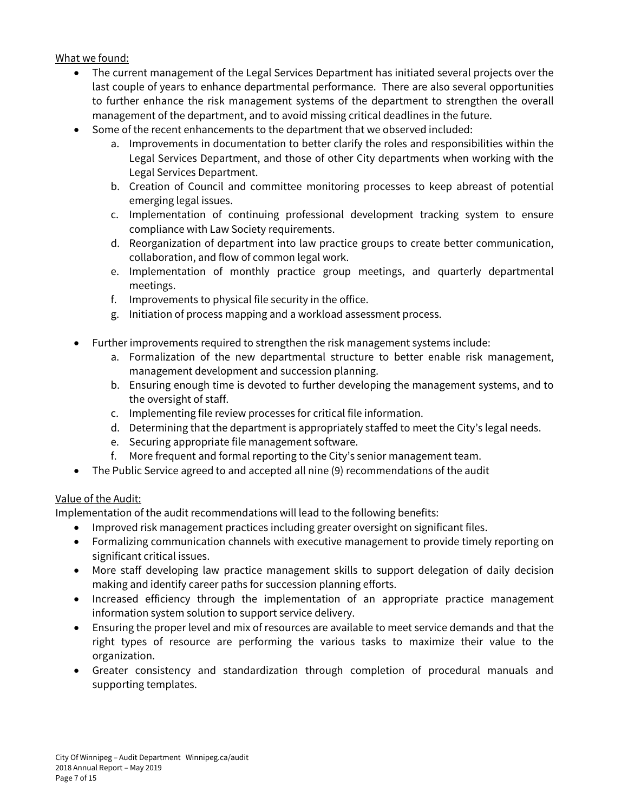What we found:

- The current management of the Legal Services Department has initiated several projects over the last couple of years to enhance departmental performance. There are also several opportunities to further enhance the risk management systems of the department to strengthen the overall management of the department, and to avoid missing critical deadlines in the future.
- Some of the recent enhancements to the department that we observed included:
	- a. Improvements in documentation to better clarify the roles and responsibilities within the Legal Services Department, and those of other City departments when working with the Legal Services Department.
	- b. Creation of Council and committee monitoring processes to keep abreast of potential emerging legal issues.
	- c. Implementation of continuing professional development tracking system to ensure compliance with Law Society requirements.
	- d. Reorganization of department into law practice groups to create better communication, collaboration, and flow of common legal work.
	- e. Implementation of monthly practice group meetings, and quarterly departmental meetings.
	- f. Improvements to physical file security in the office.
	- g. Initiation of process mapping and a workload assessment process.
- Further improvements required to strengthen the risk management systems include:
	- a. Formalization of the new departmental structure to better enable risk management, management development and succession planning.
	- b. Ensuring enough time is devoted to further developing the management systems, and to the oversight of staff.
	- c. Implementing file review processes for critical file information.
	- d. Determining that the department is appropriately staffed to meet the City's legal needs.
	- e. Securing appropriate file management software.
	- f. More frequent and formal reporting to the City's senior management team.
- The Public Service agreed to and accepted all nine (9) recommendations of the audit

#### Value of the Audit:

Implementation of the audit recommendations will lead to the following benefits:

- Improved risk management practices including greater oversight on significant files.
- Formalizing communication channels with executive management to provide timely reporting on significant critical issues.
- More staff developing law practice management skills to support delegation of daily decision making and identify career paths for succession planning efforts.
- Increased efficiency through the implementation of an appropriate practice management information system solution to support service delivery.
- Ensuring the proper level and mix of resources are available to meet service demands and that the right types of resource are performing the various tasks to maximize their value to the organization.
- Greater consistency and standardization through completion of procedural manuals and supporting templates.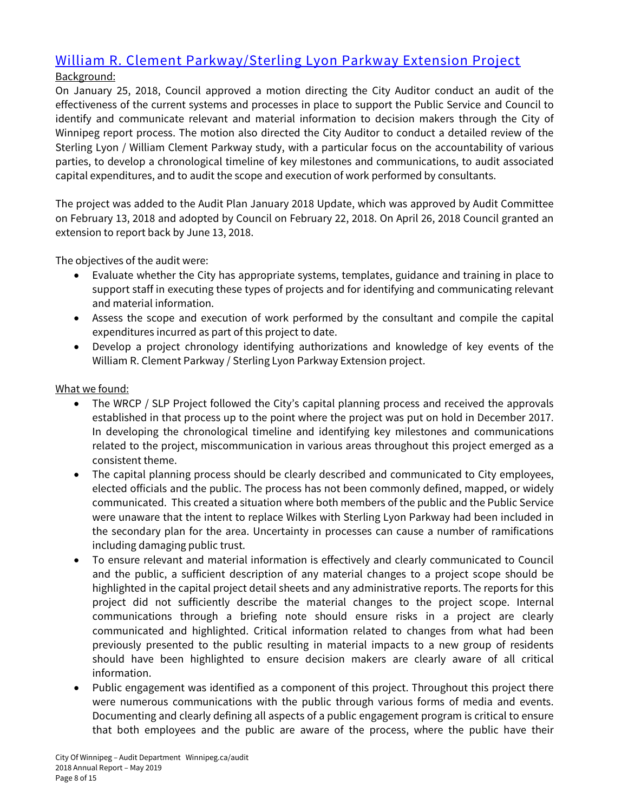## William R. Clement Parkway/Sterling Lyon Parkway Extension Project

### Background:

On January 25, 2018, Council approved a motion directing the City Auditor conduct an audit of the effectiveness of the current systems and processes in place to support the Public Service and Council to identify and communicate relevant and material information to decision makers through the City of Winnipeg report process. The motion also directed the City Auditor to conduct a detailed review of the Sterling Lyon / William Clement Parkway study, with a particular focus on the accountability of various parties, to develop a chronological timeline of key milestones and communications, to audit associated capital expenditures, and to audit the scope and execution of work performed by consultants.

The project was added to the Audit Plan January 2018 Update, which was approved by Audit Committee on February 13, 2018 and adopted by Council on February 22, 2018. On April 26, 2018 Council granted an extension to report back by June 13, 2018.

The objectives of the audit were:

- Evaluate whether the City has appropriate systems, templates, guidance and training in place to support staff in executing these types of projects and for identifying and communicating relevant and material information.
- Assess the scope and execution of work performed by the consultant and compile the capital expenditures incurred as part of this project to date.
- Develop a project chronology identifying authorizations and knowledge of key events of the William R. Clement Parkway / Sterling Lyon Parkway Extension project.

#### What we found:

- The WRCP / SLP Project followed the City's capital planning process and received the approvals established in that process up to the point where the project was put on hold in December 2017. In developing the chronological timeline and identifying key milestones and communications related to the project, miscommunication in various areas throughout this project emerged as a consistent theme.
- The capital planning process should be clearly described and communicated to City employees, elected officials and the public. The process has not been commonly defined, mapped, or widely communicated. This created a situation where both members of the public and the Public Service were unaware that the intent to replace Wilkes with Sterling Lyon Parkway had been included in the secondary plan for the area. Uncertainty in processes can cause a number of ramifications including damaging public trust.
- To ensure relevant and material information is effectively and clearly communicated to Council and the public, a sufficient description of any material changes to a project scope should be highlighted in the capital project detail sheets and any administrative reports. The reports for this project did not sufficiently describe the material changes to the project scope. Internal communications through a briefing note should ensure risks in a project are clearly communicated and highlighted. Critical information related to changes from what had been previously presented to the public resulting in material impacts to a new group of residents should have been highlighted to ensure decision makers are clearly aware of all critical information.
- Public engagement was identified as a component of this project. Throughout this project there were numerous communications with the public through various forms of media and events. Documenting and clearly defining all aspects of a public engagement program is critical to ensure that both employees and the public are aware of the process, where the public have their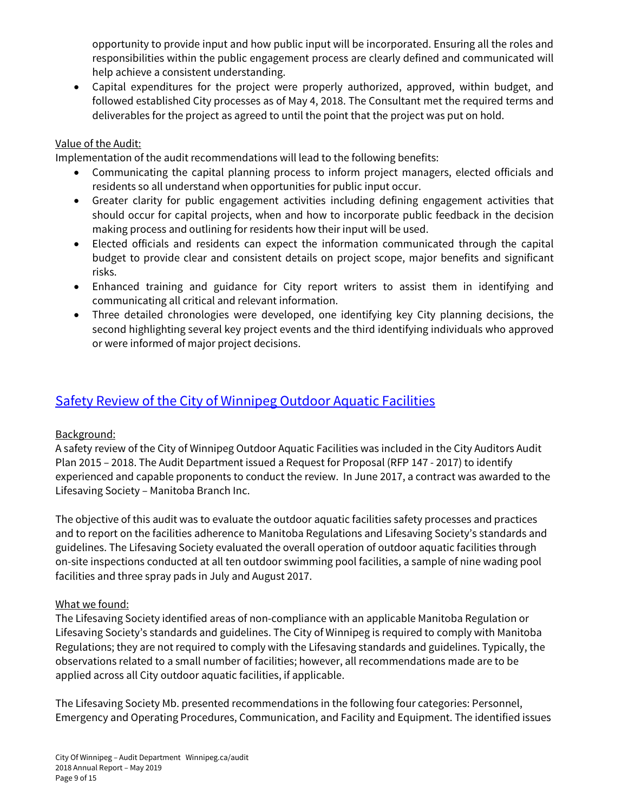opportunity to provide input and how public input will be incorporated. Ensuring all the roles and responsibilities within the public engagement process are clearly defined and communicated will help achieve a consistent understanding.

• Capital expenditures for the project were properly authorized, approved, within budget, and followed established City processes as of May 4, 2018. The Consultant met the required terms and deliverables for the project as agreed to until the point that the project was put on hold.

#### Value of the Audit:

Implementation of the audit recommendations will lead to the following benefits:

- Communicating the capital planning process to inform project managers, elected officials and residents so all understand when opportunities for public input occur.
- Greater clarity for public engagement activities including defining engagement activities that should occur for capital projects, when and how to incorporate public feedback in the decision making process and outlining for residents how their input will be used.
- Elected officials and residents can expect the information communicated through the capital budget to provide clear and consistent details on project scope, major benefits and significant risks.
- Enhanced training and guidance for City report writers to assist them in identifying and communicating all critical and relevant information.
- Three detailed chronologies were developed, one identifying key City planning decisions, the second highlighting several key project events and the third identifying individuals who approved or were informed of major project decisions.

### Safety Review of the City of Winnipeg Outdoor Aquatic Facilities

#### Background:

A safety review of the City of Winnipeg Outdoor Aquatic Facilities was included in the City Auditors Audit Plan 2015 – 2018. The Audit Department issued a Request for Proposal (RFP 147 - 2017) to identify experienced and capable proponents to conduct the review. In June 2017, a contract was awarded to the Lifesaving Society – Manitoba Branch Inc.

The objective of this audit was to evaluate the outdoor aquatic facilities safety processes and practices and to report on the facilities adherence to Manitoba Regulations and Lifesaving Society's standards and guidelines. The Lifesaving Society evaluated the overall operation of outdoor aquatic facilities through on-site inspections conducted at all ten outdoor swimming pool facilities, a sample of nine wading pool facilities and three spray pads in July and August 2017.

#### What we found:

The Lifesaving Society identified areas of non-compliance with an applicable Manitoba Regulation or Lifesaving Society's standards and guidelines. The City of Winnipeg is required to comply with Manitoba Regulations; they are not required to comply with the Lifesaving standards and guidelines. Typically, the observations related to a small number of facilities; however, all recommendations made are to be applied across all City outdoor aquatic facilities, if applicable.

The Lifesaving Society Mb. presented recommendations in the following four categories: Personnel, Emergency and Operating Procedures, Communication, and Facility and Equipment. The identified issues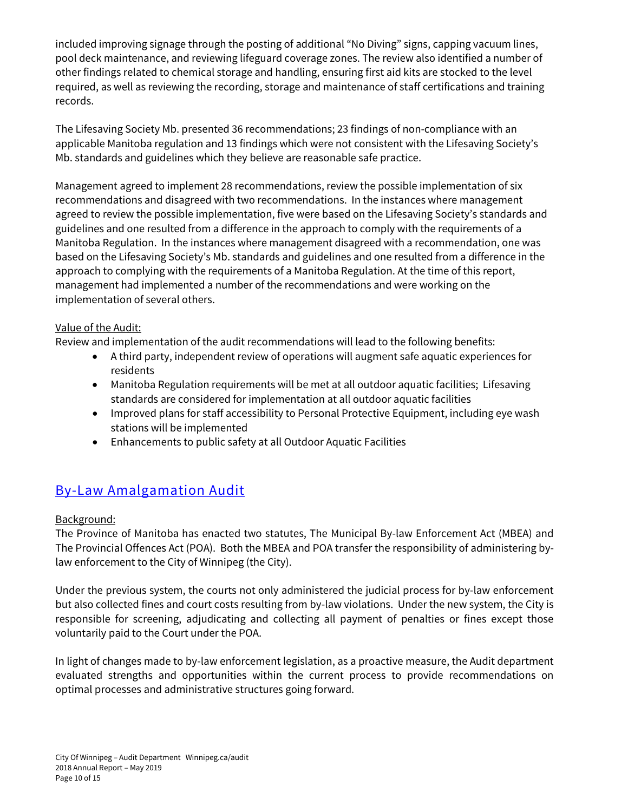included improving signage through the posting of additional "No Diving" signs, capping vacuum lines, pool deck maintenance, and reviewing lifeguard coverage zones. The review also identified a number of other findings related to chemical storage and handling, ensuring first aid kits are stocked to the level required, as well as reviewing the recording, storage and maintenance of staff certifications and training records.

The Lifesaving Society Mb. presented 36 recommendations; 23 findings of non-compliance with an applicable Manitoba regulation and 13 findings which were not consistent with the Lifesaving Society's Mb. standards and guidelines which they believe are reasonable safe practice.

Management agreed to implement 28 recommendations, review the possible implementation of six recommendations and disagreed with two recommendations. In the instances where management agreed to review the possible implementation, five were based on the Lifesaving Society's standards and guidelines and one resulted from a difference in the approach to comply with the requirements of a Manitoba Regulation. In the instances where management disagreed with a recommendation, one was based on the Lifesaving Society's Mb. standards and guidelines and one resulted from a difference in the approach to complying with the requirements of a Manitoba Regulation. At the time of this report, management had implemented a number of the recommendations and were working on the implementation of several others.

#### Value of the Audit:

Review and implementation of the audit recommendations will lead to the following benefits:

- A third party, independent review of operations will augment safe aquatic experiences for residents
- Manitoba Regulation requirements will be met at all outdoor aquatic facilities; Lifesaving standards are considered for implementation at all outdoor aquatic facilities
- Improved plans for staff accessibility to Personal Protective Equipment, including eye wash stations will be implemented
- Enhancements to public safety at all Outdoor Aquatic Facilities

### By-Law Amalgamation Audit

#### Background:

The Province of Manitoba has enacted two statutes, The Municipal By-law Enforcement Act (MBEA) and The Provincial Offences Act (POA). Both the MBEA and POA transfer the responsibility of administering bylaw enforcement to the City of Winnipeg (the City).

Under the previous system, the courts not only administered the judicial process for by-law enforcement but also collected fines and court costs resulting from by-law violations. Under the new system, the City is responsible for screening, adjudicating and collecting all payment of penalties or fines except those voluntarily paid to the Court under the POA.

In light of changes made to by-law enforcement legislation, as a proactive measure, the Audit department evaluated strengths and opportunities within the current process to provide recommendations on optimal processes and administrative structures going forward.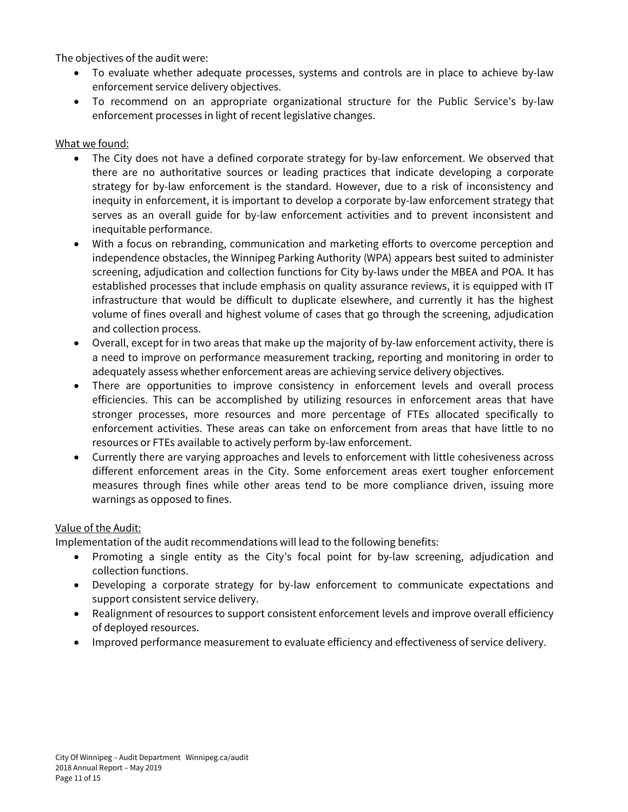The objectives of the audit were:

- To evaluate whether adequate processes, systems and controls are in place to achieve by-law enforcement service delivery objectives.
- To recommend on an appropriate organizational structure for the Public Service's by-law enforcement processes in light of recent legislative changes.

#### What we found:

- The City does not have a defined corporate strategy for by-law enforcement. We observed that there are no authoritative sources or leading practices that indicate developing a corporate strategy for by-law enforcement is the standard. However, due to a risk of inconsistency and inequity in enforcement, it is important to develop a corporate by-law enforcement strategy that serves as an overall guide for by-law enforcement activities and to prevent inconsistent and inequitable performance.
- With a focus on rebranding, communication and marketing efforts to overcome perception and independence obstacles, the Winnipeg Parking Authority (WPA) appears best suited to administer screening, adjudication and collection functions for City by-laws under the MBEA and POA. It has established processes that include emphasis on quality assurance reviews, it is equipped with IT infrastructure that would be difficult to duplicate elsewhere, and currently it has the highest volume of fines overall and highest volume of cases that go through the screening, adjudication and collection process.
- Overall, except for in two areas that make up the majority of by-law enforcement activity, there is a need to improve on performance measurement tracking, reporting and monitoring in order to adequately assess whether enforcement areas are achieving service delivery objectives.
- There are opportunities to improve consistency in enforcement levels and overall process efficiencies. This can be accomplished by utilizing resources in enforcement areas that have stronger processes, more resources and more percentage of FTEs allocated specifically to enforcement activities. These areas can take on enforcement from areas that have little to no resources or FTEs available to actively perform by-law enforcement.
- Currently there are varying approaches and levels to enforcement with little cohesiveness across different enforcement areas in the City. Some enforcement areas exert tougher enforcement measures through fines while other areas tend to be more compliance driven, issuing more warnings as opposed to fines.

#### Value of the Audit:

Implementation of the audit recommendations will lead to the following benefits:

- Promoting a single entity as the City's focal point for by-law screening, adjudication and collection functions.
- Developing a corporate strategy for by-law enforcement to communicate expectations and support consistent service delivery.
- Realignment of resources to support consistent enforcement levels and improve overall efficiency of deployed resources.
- Improved performance measurement to evaluate efficiency and effectiveness of service delivery.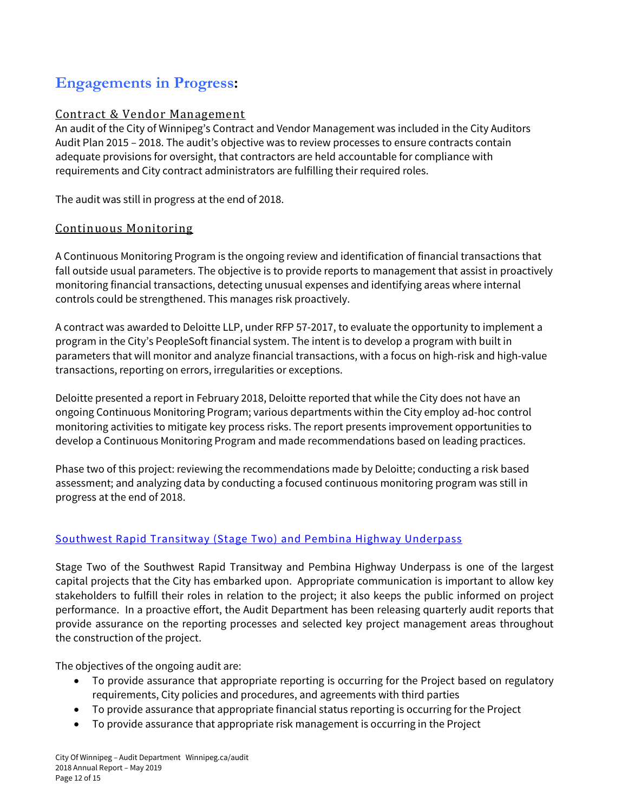# **Engagements in Progress:**

### Contract & Vendor Management

An audit of the City of Winnipeg's Contract and Vendor Management was included in the City Auditors Audit Plan 2015 – 2018. The audit's objective was to review processes to ensure contracts contain adequate provisions for oversight, that contractors are held accountable for compliance with requirements and City contract administrators are fulfilling their required roles.

The audit was still in progress at the end of 2018.

#### Continuous Monitoring

A Continuous Monitoring Program is the ongoing review and identification of financial transactions that fall outside usual parameters. The objective is to provide reports to management that assist in proactively monitoring financial transactions, detecting unusual expenses and identifying areas where internal controls could be strengthened. This manages risk proactively.

A contract was awarded to Deloitte LLP, under RFP 57-2017, to evaluate the opportunity to implement a program in the City's PeopleSoft financial system. The intent is to develop a program with built in parameters that will monitor and analyze financial transactions, with a focus on high-risk and high-value transactions, reporting on errors, irregularities or exceptions.

Deloitte presented a report in February 2018, Deloitte reported that while the City does not have an ongoing Continuous Monitoring Program; various departments within the City employ ad-hoc control monitoring activities to mitigate key process risks. The report presents improvement opportunities to develop a Continuous Monitoring Program and made recommendations based on leading practices.

Phase two of this project: reviewing the recommendations made by Deloitte; conducting a risk based assessment; and analyzing data by conducting a focused continuous monitoring program was still in progress at the end of 2018.

#### Southwest Rapid Transitway (Stage Two) and Pembina Highway Underpass

Stage Two of the Southwest Rapid Transitway and Pembina Highway Underpass is one of the largest capital projects that the City has embarked upon. Appropriate communication is important to allow key stakeholders to fulfill their roles in relation to the project; it also keeps the public informed on project performance. In a proactive effort, the Audit Department has been releasing quarterly audit reports that provide assurance on the reporting processes and selected key project management areas throughout the construction of the project.

The objectives of the ongoing audit are:

- To provide assurance that appropriate reporting is occurring for the Project based on regulatory requirements, City policies and procedures, and agreements with third parties
- To provide assurance that appropriate financial status reporting is occurring for the Project
- To provide assurance that appropriate risk management is occurring in the Project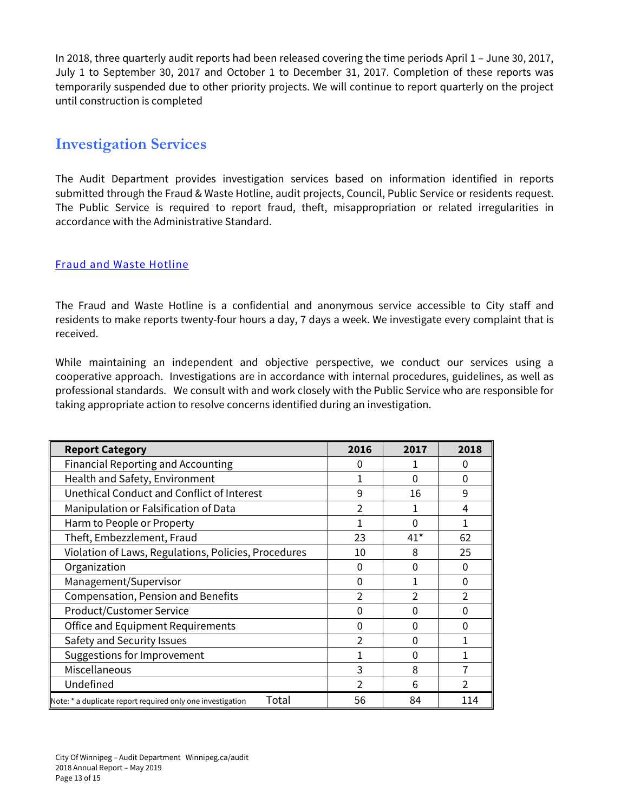In 2018, three quarterly audit reports had been released covering the time periods April 1 – June 30, 2017, July 1 to September 30, 2017 and October 1 to December 31, 2017. Completion of these reports was temporarily suspended due to other priority projects. We will continue to report quarterly on the project until construction is completed

## **Investigation Services**

The Audit Department provides investigation services based on information identified in reports submitted through the Fraud & Waste Hotline, audit projects, Council, Public Service or residents request. The Public Service is required to report fraud, theft, misappropriation or related irregularities in accordance with the Administrative Standard.

#### Fraud and Waste Hotline

The Fraud and Waste Hotline is a confidential and anonymous service accessible to City staff and residents to make reports twenty-four hours a day, 7 days a week. We investigate every complaint that is received.

While maintaining an independent and objective perspective, we conduct our services using a cooperative approach. Investigations are in accordance with internal procedures, guidelines, as well as professional standards. We consult with and work closely with the Public Service who are responsible for taking appropriate action to resolve concerns identified during an investigation.

| <b>Report Category</b>                                              | 2016     | 2017  | 2018     |
|---------------------------------------------------------------------|----------|-------|----------|
| <b>Financial Reporting and Accounting</b>                           | 0        |       | 0        |
| Health and Safety, Environment                                      |          | 0     | $\Omega$ |
| Unethical Conduct and Conflict of Interest                          | 9        | 16    | 9        |
| Manipulation or Falsification of Data                               | 2        |       | 4        |
| Harm to People or Property                                          |          | 0     | 1        |
| Theft, Embezzlement, Fraud                                          | 23       | $41*$ | 62       |
| Violation of Laws, Regulations, Policies, Procedures                | 10       | 8     | 25       |
| Organization                                                        | 0        | 0     | $\Omega$ |
| Management/Supervisor                                               | $\Omega$ |       | $\Omega$ |
| <b>Compensation, Pension and Benefits</b>                           | 2        | 2     | 2        |
| Product/Customer Service                                            | 0        | 0     | 0        |
| <b>Office and Equipment Requirements</b>                            | 0        | 0     | $\Omega$ |
| Safety and Security Issues                                          | 2        | 0     |          |
| Suggestions for Improvement                                         |          | 0     |          |
| Miscellaneous                                                       | 3        | 8     |          |
| Undefined                                                           | 2        | 6     |          |
| Total<br>Note: * a duplicate report required only one investigation | 56       | 84    | 114      |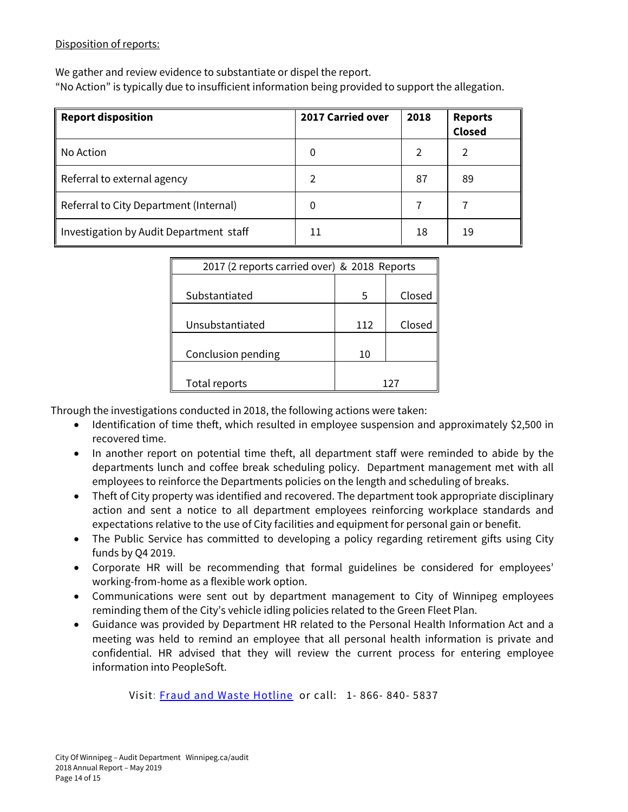#### Disposition of reports:

We gather and review evidence to substantiate or dispel the report.

"No Action" is typically due to insufficient information being provided to support the allegation.

| <b>Report disposition</b>               | <b>2017 Carried over</b> | 2018 | <b>Reports</b><br><b>Closed</b> |
|-----------------------------------------|--------------------------|------|---------------------------------|
| No Action                               | 0                        | 2    | $\mathcal{P}$                   |
| Referral to external agency             | 2                        | 87   | 89                              |
| Referral to City Department (Internal)  | 0                        |      |                                 |
| Investigation by Audit Department staff | 11                       | 18   | 19                              |

| 2017 (2 reports carried over) & 2018 Reports |     |        |  |
|----------------------------------------------|-----|--------|--|
|                                              |     |        |  |
| Substantiated                                | 5   | Closed |  |
|                                              |     |        |  |
| Unsubstantiated                              | 112 | Closed |  |
|                                              |     |        |  |
| Conclusion pending                           | 10  |        |  |
|                                              |     |        |  |
| Total reports                                |     |        |  |

Through the investigations conducted in 2018, the following actions were taken:

- Identification of time theft, which resulted in employee suspension and approximately \$2,500 in recovered time.
- In another report on potential time theft, all department staff were reminded to abide by the departments lunch and coffee break scheduling policy. Department management met with all employees to reinforce the Departments policies on the length and scheduling of breaks.
- Theft of City property was identified and recovered. The department took appropriate disciplinary action and sent a notice to all department employees reinforcing workplace standards and expectations relative to the use of City facilities and equipment for personal gain or benefit.
- The Public Service has committed to developing a policy regarding retirement gifts using City funds by Q4 2019.
- Corporate HR will be recommending that formal guidelines be considered for employees' working-from-home as a flexible work option.
- Communications were sent out by department management to City of Winnipeg employees reminding them of the City's vehicle idling policies related to the Green Fleet Plan.
- Guidance was provided by Department HR related to the Personal Health Information Act and a meeting was held to remind an employee that all personal health information is private and confidential. HR advised that they will review the current process for entering employee information into PeopleSoft.

Visit: Fraud and Waste Hotline or call: 1- 866- 840- 5837